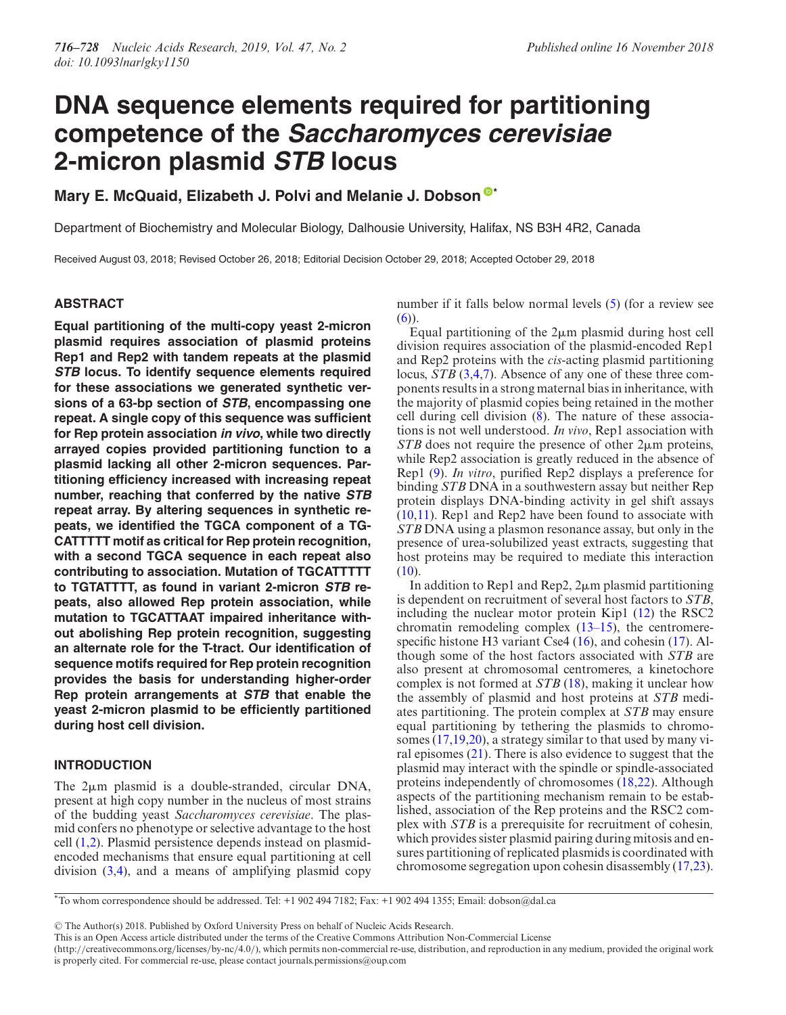# **DNA sequence elements required for partitioning competence of the Saccharomyces cerevisiae 2-micron plasmid STB locus**

**Mary E. McQuaid, Elizabeth J. Polvi and Melanie J. Dobson [\\*](http://orcid.org/0000-0001-9291-7200)**

Department of Biochemistry and Molecular Biology, Dalhousie University, Halifax, NS B3H 4R2, Canada

Received August 03, 2018; Revised October 26, 2018; Editorial Decision October 29, 2018; Accepted October 29, 2018

# **ABSTRACT**

**Equal partitioning of the multi-copy yeast 2-micron plasmid requires association of plasmid proteins Rep1 and Rep2 with tandem repeats at the plasmid STB locus. To identify sequence elements required for these associations we generated synthetic versions of a 63-bp section of STB, encompassing one repeat. A single copy of this sequence was sufficient for Rep protein association in vivo, while two directly arrayed copies provided partitioning function to a plasmid lacking all other 2-micron sequences. Partitioning efficiency increased with increasing repeat number, reaching that conferred by the native STB repeat array. By altering sequences in synthetic repeats, we identified the TGCA component of a TG-CATTTTT motif as critical for Rep protein recognition, with a second TGCA sequence in each repeat also contributing to association. Mutation of TGCATTTTT to TGTATTTT, as found in variant 2-micron STB repeats, also allowed Rep protein association, while mutation to TGCATTAAT impaired inheritance without abolishing Rep protein recognition, suggesting an alternate role for the T-tract. Our identification of sequence motifs required for Rep protein recognition provides the basis for understanding higher-order Rep protein arrangements at STB that enable the yeast 2-micron plasmid to be efficiently partitioned during host cell division.**

# **INTRODUCTION**

The  $2\mu$ m plasmid is a double-stranded, circular DNA, present at high copy number in the nucleus of most strains of the budding yeast *Saccharomyces cerevisiae*. The plasmid confers no phenotype or selective advantage to the host cell [\(1,2\)](#page-11-0). Plasmid persistence depends instead on plasmidencoded mechanisms that ensure equal partitioning at cell division  $(3,4)$ , and a means of amplifying plasmid copy

number if it falls below normal levels [\(5\)](#page-11-0) (for a review see  $(6)$ ).

Equal partitioning of the  $2\mu$ m plasmid during host cell division requires association of the plasmid-encoded Rep1 and Rep2 proteins with the *cis*-acting plasmid partitioning locus, *STB* [\(3,4,7\)](#page-11-0). Absence of any one of these three components results in a strong maternal bias in inheritance, with the majority of plasmid copies being retained in the mother cell during cell division [\(8\)](#page-11-0). The nature of these associations is not well understood. *In vivo*, Rep1 association with  $STB$  does not require the presence of other  $2\mu$ m proteins, while Rep2 association is greatly reduced in the absence of Rep1 [\(9\)](#page-11-0). *In vitro*, purified Rep2 displays a preference for binding *STB* DNA in a southwestern assay but neither Rep protein displays DNA-binding activity in gel shift assays [\(10,11\)](#page-11-0). Rep1 and Rep2 have been found to associate with *STB* DNA using a plasmon resonance assay, but only in the presence of urea-solubilized yeast extracts, suggesting that host proteins may be required to mediate this interaction  $(10).$  $(10).$ 

In addition to Rep1 and Rep2,  $2\mu$ m plasmid partitioning is dependent on recruitment of several host factors to *STB*, including the nuclear motor protein Kip1 [\(12\)](#page-11-0) the RSC2 chromatin remodeling complex  $(13-15)$ , the centromere-specific histone H3 variant Cse4 [\(16\)](#page-11-0), and cohesin [\(17\)](#page-11-0). Although some of the host factors associated with *STB* are also present at chromosomal centromeres, a kinetochore complex is not formed at *STB* [\(18\)](#page-11-0), making it unclear how the assembly of plasmid and host proteins at *STB* mediates partitioning. The protein complex at *STB* may ensure equal partitioning by tethering the plasmids to chromosomes [\(17,19,20\)](#page-11-0), a strategy similar to that used by many viral episomes  $(21)$ . There is also evidence to suggest that the plasmid may interact with the spindle or spindle-associated proteins independently of chromosomes [\(18,22\)](#page-11-0). Although aspects of the partitioning mechanism remain to be established, association of the Rep proteins and the RSC2 complex with *STB* is a prerequisite for recruitment of cohesin*,* which provides sister plasmid pairing during mitosis and ensures partitioning of replicated plasmids is coordinated with chromosome segregation upon cohesin disassembly [\(17,23\)](#page-11-0).

-<sup>C</sup> The Author(s) 2018. Published by Oxford University Press on behalf of Nucleic Acids Research.

<sup>\*</sup>To whom correspondence should be addressed. Tel: +1 902 494 7182; Fax: +1 902 494 1355; Email: dobson@dal.ca

This is an Open Access article distributed under the terms of the Creative Commons Attribution Non-Commercial License

<sup>(</sup>http://creativecommons.org/licenses/by-nc/4.0/), which permits non-commercial re-use, distribution, and reproduction in any medium, provided the original work is properly cited. For commercial re-use, please contact journals.permissions@oup.com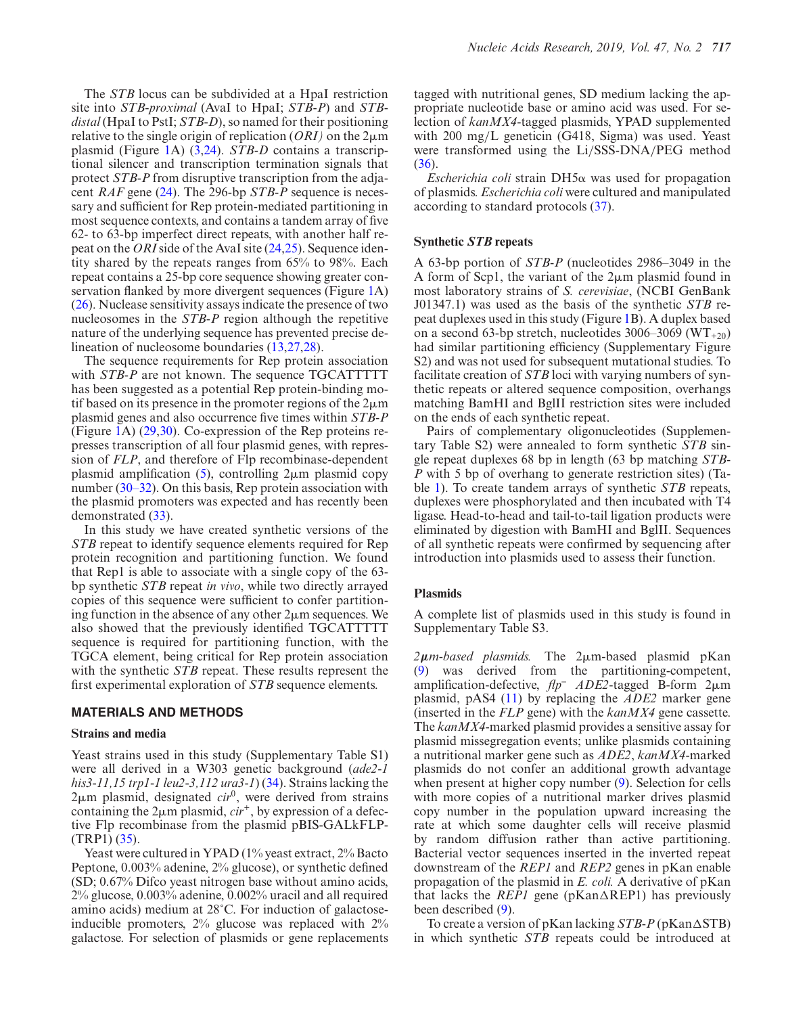The *STB* locus can be subdivided at a HpaI restriction site into *STB-proximal* (AvaI to HpaI; *STB-P*) and *STBdistal* (HpaI to PstI; *STB-D*), so named for their positioning relative to the single origin of replication  $(ORI)$  on the  $2\mu$ m plasmid (Figure [1A](#page-2-0)) [\(3,24\)](#page-11-0). *STB-D* contains a transcriptional silencer and transcription termination signals that protect *STB-P* from disruptive transcription from the adjacent *RAF* gene [\(24\)](#page-11-0). The 296-bp *STB-P* sequence is necessary and sufficient for Rep protein-mediated partitioning in most sequence contexts, and contains a tandem array of five 62- to 63-bp imperfect direct repeats, with another half repeat on the *ORI*side of the AvaI site [\(24,25\)](#page-11-0). Sequence identity shared by the repeats ranges from 65% to 98%. Each repeat contains a 25-bp core sequence showing greater conservation flanked by more divergent sequences (Figure [1A](#page-2-0)) [\(26\)](#page-11-0). Nuclease sensitivity assays indicate the presence of two nucleosomes in the *STB-P* region although the repetitive nature of the underlying sequence has prevented precise delineation of nucleosome boundaries [\(13,27,28\)](#page-11-0).

The sequence requirements for Rep protein association with *STB-P* are not known. The sequence TGCATTTTT has been suggested as a potential Rep protein-binding motif based on its presence in the promoter regions of the  $2\mu$ m plasmid genes and also occurrence five times within *STB-P* (Figure [1A](#page-2-0)) [\(29,30\)](#page-11-0). Co-expression of the Rep proteins represses transcription of all four plasmid genes, with repression of *FLP*, and therefore of Flp recombinase-dependent plasmid amplification  $(5)$ , controlling  $2\mu$ m plasmid copy number [\(30–32\)](#page-11-0). On this basis, Rep protein association with the plasmid promoters was expected and has recently been demonstrated [\(33\)](#page-11-0).

In this study we have created synthetic versions of the *STB* repeat to identify sequence elements required for Rep protein recognition and partitioning function. We found that Rep1 is able to associate with a single copy of the 63 bp synthetic *STB* repeat *in vivo*, while two directly arrayed copies of this sequence were sufficient to confer partitioning function in the absence of any other  $2\mu$ m sequences. We also showed that the previously identified TGCATTTTT sequence is required for partitioning function, with the TGCA element, being critical for Rep protein association with the synthetic *STB* repeat. These results represent the first experimental exploration of *STB* sequence elements.

# **MATERIALS AND METHODS**

#### **Strains and media**

Yeast strains used in this study (Supplementary Table S1) were all derived in a W303 genetic background (*ade2-1 his3-11,15 trp1-1 leu2-3,112 ura3-1*) [\(34\)](#page-11-0). Strains lacking the 2µm plasmid, designated *cir*<sup>0</sup>, were derived from strains containing the  $2\mu$ m plasmid,  $cir<sup>+</sup>$ , by expression of a defective Flp recombinase from the plasmid pBIS-GALkFLP- (TRP1) [\(35\)](#page-11-0).

Yeast were cultured in YPAD (1% yeast extract, 2% Bacto Peptone, 0.003% adenine, 2% glucose), or synthetic defined (SD; 0.67% Difco yeast nitrogen base without amino acids, 2% glucose, 0.003% adenine, 0.002% uracil and all required amino acids) medium at 28˚C. For induction of galactoseinducible promoters, 2% glucose was replaced with 2% galactose. For selection of plasmids or gene replacements tagged with nutritional genes, SD medium lacking the appropriate nucleotide base or amino acid was used. For selection of *kanMX4*-tagged plasmids, YPAD supplemented with 200 mg/L geneticin (G418, Sigma) was used. Yeast were transformed using the Li/SSS-DNA/PEG method [\(36\)](#page-11-0).

*Escherichia coli* strain  $DH5\alpha$  was used for propagation of plasmids. *Escherichia coli* were cultured and manipulated according to standard protocols [\(37\)](#page-12-0).

#### **Synthetic** *STB* **repeats**

A 63-bp portion of *STB-P* (nucleotides 2986–3049 in the A form of Scp1, the variant of the  $2\mu$ m plasmid found in most laboratory strains of *S. cerevisiae*, (NCBI GenBank J01347.1) was used as the basis of the synthetic *STB* repeat duplexes used in this study (Figure [1B](#page-2-0)). A duplex based on a second 63-bp stretch, nucleotides  $3006-3069$  (WT<sub>+20</sub>) had similar partitioning efficiency (Supplementary Figure S2) and was not used for subsequent mutational studies. To facilitate creation of *STB* loci with varying numbers of synthetic repeats or altered sequence composition, overhangs matching BamHI and BglII restriction sites were included on the ends of each synthetic repeat.

Pairs of complementary oligonucleotides (Supplementary Table S2) were annealed to form synthetic *STB* single repeat duplexes 68 bp in length (63 bp matching *STB-P* with 5 bp of overhang to generate restriction sites) (Table [1\)](#page-2-0). To create tandem arrays of synthetic *STB* repeats, duplexes were phosphorylated and then incubated with T4 ligase. Head-to-head and tail-to-tail ligation products were eliminated by digestion with BamHI and BglII. Sequences of all synthetic repeats were confirmed by sequencing after introduction into plasmids used to assess their function.

#### **Plasmids**

A complete list of plasmids used in this study is found in Supplementary Table S3.

2μm-based plasmids. The 2μm-based plasmid pKan [\(9\)](#page-11-0) was derived from the partitioning-competent, amplification-defective,  $flp^-$  *ADE2*-tagged B-form 2 $\mu$ m plasmid, pAS4 [\(11\)](#page-11-0) by replacing the *ADE2* marker gene (inserted in the *FLP* gene) with the *kanMX4* gene cassette. The *kanMX4*-marked plasmid provides a sensitive assay for plasmid missegregation events; unlike plasmids containing a nutritional marker gene such as *ADE2*, *kanMX4-*marked plasmids do not confer an additional growth advantage when present at higher copy number [\(9\)](#page-11-0). Selection for cells with more copies of a nutritional marker drives plasmid copy number in the population upward increasing the rate at which some daughter cells will receive plasmid by random diffusion rather than active partitioning. Bacterial vector sequences inserted in the inverted repeat downstream of the *REP1* and *REP2* genes in pKan enable propagation of the plasmid in *E. coli.* A derivative of pKan that lacks the *REP1* gene ( $p$ Kan $\triangle$ REP1) has previously been described [\(9\)](#page-11-0).

To create a version of pKan lacking *STB-P* (pKan $\triangle$ STB) in which synthetic *STB* repeats could be introduced at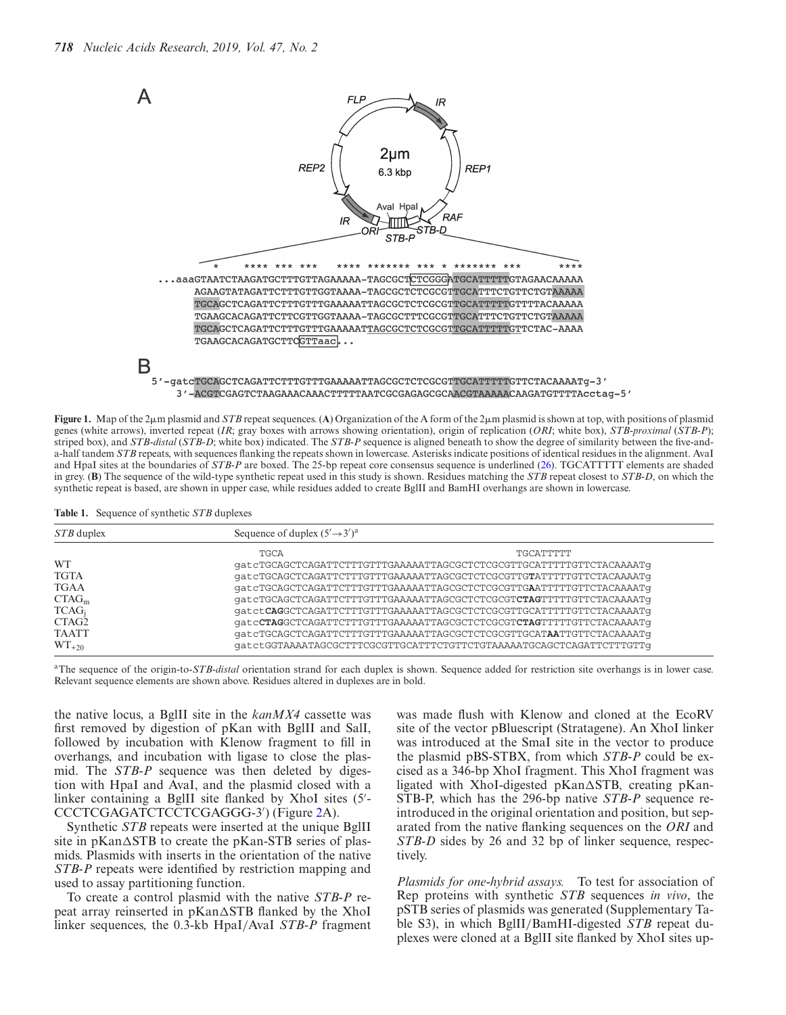<span id="page-2-0"></span>

3'-ACGTCGAGTCTAAGAAACAAACTTTTTAATCGCGAGAGCGCAACGTAAAAACAAGATGTTTTAcctaq-5'

**Figure 1.** Map of the 2 $\mu$ m plasmid and *STB* repeat sequences. (A) Organization of the A form of the 2 $\mu$ m plasmid is shown at top, with positions of plasmid genes (white arrows), inverted repeat (*IR*; gray boxes with arrows showing orientation), origin of replication (*ORI*; white box), *STB-proximal* (*STB-P*); striped box), and *STB-distal* (*STB-D*; white box) indicated. The *STB-P* sequence is aligned beneath to show the degree of similarity between the five-anda-half tandem *STB* repeats, with sequences flanking the repeats shown in lowercase. Asterisks indicate positions of identical residues in the alignment. AvaI and HpaI sites at the boundaries of *STB-P* are boxed. The 25-bp repeat core consensus sequence is underlined [\(26\)](#page-11-0). TGCATTTTT elements are shaded in grey. (**B**) The sequence of the wild-type synthetic repeat used in this study is shown. Residues matching the *STB* repeat closest to *STB-D*, on which the synthetic repeat is based, are shown in upper case, while residues added to create BglII and BamHI overhangs are shown in lowercase.

|  |  |  | Table 1. Sequence of synthetic STB duplexes |
|--|--|--|---------------------------------------------|
|--|--|--|---------------------------------------------|

| STB duplex        | Sequence of duplex $(5' \rightarrow 3')^a$                           |           |  |
|-------------------|----------------------------------------------------------------------|-----------|--|
|                   | TGCA                                                                 | TGCATTTTT |  |
| <b>WT</b>         | qatcTGCAGCTCAGATTCTTTGTTTGAAAAATTAGCGCTCTCGCGTTGCATTTTTGTTCTACAAAATq |           |  |
| <b>TGTA</b>       | qatcTGCAGCTCAGATTCTTTGTTTGAAAAATTAGCGCTCTCGCGTTGTATTTTTGTTCTACAAAATq |           |  |
| <b>TGAA</b>       | qatcTGCAGCTCAGATTCTTTGTTTGAAAAATTAGCGCTCTCGCGTTGAATTTTTGTTCTACAAAATq |           |  |
| CTAG <sub>m</sub> | gatcTGCAGCTCAGATTCTTTGTTTGAAAAATTAGCGCTCTCGCGTCTAGTTTTTGTTCTACAAAATq |           |  |
| $TCAG_i$          | qatctCAGGCTCAGATTCTTTGTTTGAAAAATTAGCGCTCTCGCGTTGCATTTTTGTTCTACAAAATq |           |  |
| CTAG <sub>2</sub> | qatcCTAGGCTCAGATTCTTTGTTTGAAAAATTAGCGCTCTCGCGTCTAGTTTTTGTTCTACAAAATq |           |  |
| <b>TAATT</b>      | gatcTGCAGCTCAGATTCTTTGTTTGAAAAATTAGCGCTCTCGCGTTGCATAATTGTTCTACAAAATq |           |  |
| $WT_{+20}$        | qatctGGTAAAATAGCGCTTTCGCGTTGCATTTCTGTTCTGTAAAAATGCAGCTCAGATTCTTTGTTq |           |  |

<sup>a</sup>The sequence of the origin-to-*STB-distal* orientation strand for each duplex is shown. Sequence added for restriction site overhangs is in lower case. Relevant sequence elements are shown above. Residues altered in duplexes are in bold.

the native locus, a BglII site in the *kanMX4* cassette was first removed by digestion of pKan with BglII and SalI, followed by incubation with Klenow fragment to fill in overhangs, and incubation with ligase to close the plasmid. The *STB-P* sequence was then deleted by digestion with HpaI and AvaI, and the plasmid closed with a linker containing a BglII site flanked by XhoI sites (5'-CCCTCGAGATCTCCTCGAGGG-3 ) (Figure [2A](#page-3-0)).

Synthetic *STB* repeats were inserted at the unique BglII site in pKan $\Delta$ STB to create the pKan-STB series of plasmids. Plasmids with inserts in the orientation of the native *STB-P* repeats were identified by restriction mapping and used to assay partitioning function.

To create a control plasmid with the native *STB-P* repeat array reinserted in  $pKan\Delta STB$  flanked by the XhoI linker sequences, the 0.3-kb HpaI/AvaI *STB-P* fragment

was made flush with Klenow and cloned at the EcoRV site of the vector pBluescript (Stratagene). An XhoI linker was introduced at the SmaI site in the vector to produce the plasmid pBS-STBX, from which *STB-P* could be excised as a 346-bp XhoI fragment. This XhoI fragment was ligated with XhoI-digested pKan-STB, creating pKan-STB-P, which has the 296-bp native *STB-P* sequence reintroduced in the original orientation and position, but separated from the native flanking sequences on the *ORI* and *STB-D* sides by 26 and 32 bp of linker sequence, respectively.

*Plasmids for one-hybrid assays.* To test for association of Rep proteins with synthetic *STB* sequences *in vivo*, the pSTB series of plasmids was generated (Supplementary Table S3), in which BglII/BamHI-digested *STB* repeat duplexes were cloned at a BglII site flanked by XhoI sites up-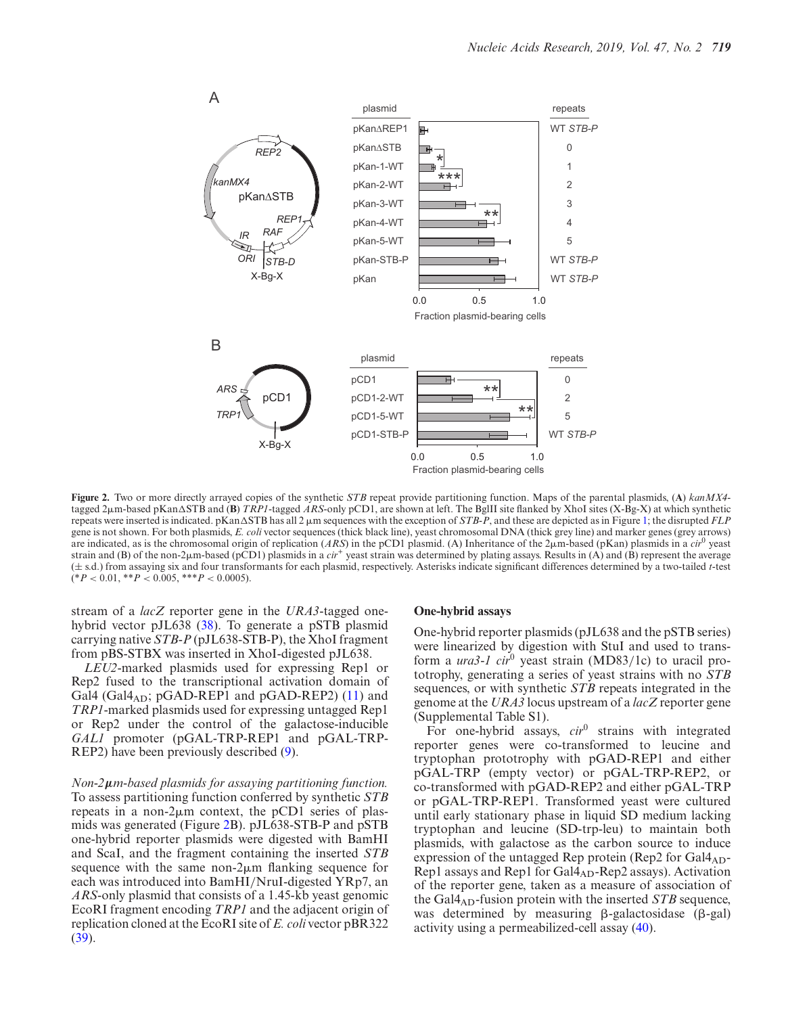<span id="page-3-0"></span>

**Figure 2.** Two or more directly arrayed copies of the synthetic *STB* repeat provide partitioning function. Maps of the parental plasmids, (**A**) *kanMX4* tagged 2 $\mu$ m-based pKan $\Delta$ STB and (**B**) *TRP1*-tagged *ARS*-only pCD1, are shown at left. The BglII site flanked by XhoI sites (X-Bg-X) at which synthetic repeats were inserted is indicated. pKan $\Delta$ STB has all 2  $\mu$ m sequences with the exception of *STB-P*, and these are depicted as in Figure [1;](#page-2-0) the disrupted *FLF* gene is not shown. For both plasmids, *E. coli* vector sequences (thick black line), yeast chromosomal DNA (thick grey line) and marker genes (grey arrows) are indicated, as is the chromosomal origin of replication (*ARS*) in the pCD1 plasmid. (A) Inheritance of the 2<sub>µ</sub>m-based (pKan) plasmids in a *cir*<sup>0</sup> yeast strain and (B) of the non-2 $\mu$ m-based (pCD1) plasmids in a *cir<sup>+</sup>* yeast strain was determined by plating assays. Results in (A) and (B) represent the average (± s.d.) from assaying six and four transformants for each plasmid, respectively. Asterisks indicate significant differences determined by a two-tailed *t*-test  $(*P < 0.01, **P < 0.005, **P < 0.0005).$ 

stream of a *lacZ* reporter gene in the *URA3*-tagged onehybrid vector pJL638 [\(38\)](#page-12-0). To generate a pSTB plasmid carrying native *STB-P* (pJL638-STB-P), the XhoI fragment from pBS-STBX was inserted in XhoI-digested pJL638.

*LEU2*-marked plasmids used for expressing Rep1 or Rep2 fused to the transcriptional activation domain of Gal4 (Gal $4_{AD}$ ; pGAD-REP1 and pGAD-REP2) [\(11\)](#page-11-0) and *TRP1*-marked plasmids used for expressing untagged Rep1 or Rep2 under the control of the galactose-inducible *GAL1* promoter (pGAL-TRP-REP1 and pGAL-TRP-REP2) have been previously described [\(9\)](#page-11-0).

*Non-2μm-based plasmids for assaying partitioning function.* To assess partitioning function conferred by synthetic *STB* repeats in a non- $2\mu$ m context, the pCD1 series of plasmids was generated (Figure 2B). pJL638-STB-P and pSTB one-hybrid reporter plasmids were digested with BamHI and ScaI, and the fragment containing the inserted *STB* sequence with the same non- $2\mu$ m flanking sequence for each was introduced into BamHI/NruI-digested YRp7, an *ARS*-only plasmid that consists of a 1.45-kb yeast genomic EcoRI fragment encoding *TRP1* and the adjacent origin of replication cloned at the EcoRI site of *E. coli* vector pBR322 [\(39\)](#page-12-0).

#### **One-hybrid assays**

One-hybrid reporter plasmids (pJL638 and the pSTB series) were linearized by digestion with StuI and used to transform a *ura3-1 cir*<sup>0</sup> yeast strain (MD83/1c) to uracil prototrophy, generating a series of yeast strains with no *STB* sequences, or with synthetic *STB* repeats integrated in the genome at the *URA3* locus upstream of a *lacZ* reporter gene (Supplemental Table S1).

For one-hybrid assays, *cir*<sup>0</sup> strains with integrated reporter genes were co-transformed to leucine and tryptophan prototrophy with pGAD-REP1 and either pGAL-TRP (empty vector) or pGAL-TRP-REP2, or co-transformed with pGAD-REP2 and either pGAL-TRP or pGAL-TRP-REP1. Transformed yeast were cultured until early stationary phase in liquid SD medium lacking tryptophan and leucine (SD-trp-leu) to maintain both plasmids, with galactose as the carbon source to induce expression of the untagged Rep protein (Rep2 for  $Gal4_{AD}$ -Rep1 assays and Rep1 for  $Gal4_{AD}$ -Rep2 assays). Activation of the reporter gene, taken as a measure of association of the Gal4AD-fusion protein with the inserted *STB* sequence, was determined by measuring  $\beta$ -galactosidase ( $\beta$ -gal) activity using a permeabilized-cell assay [\(40\)](#page-12-0).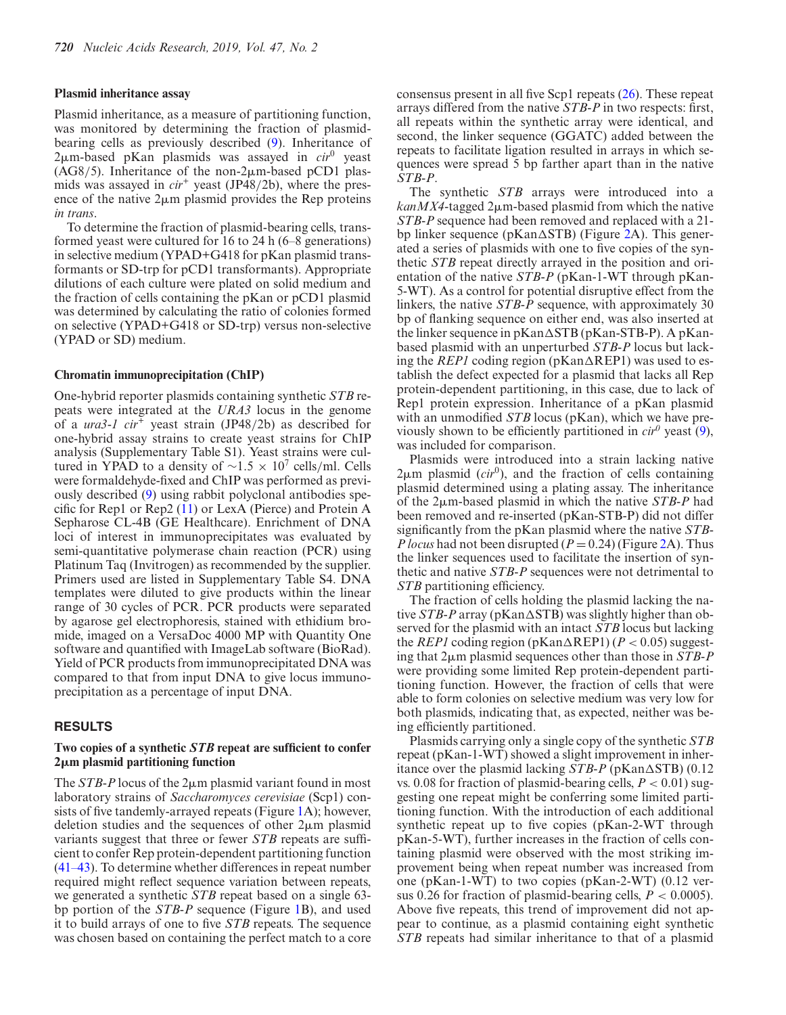#### **Plasmid inheritance assay**

Plasmid inheritance, as a measure of partitioning function, was monitored by determining the fraction of plasmidbearing cells as previously described [\(9\)](#page-11-0). Inheritance of 2-m-based pKan plasmids was assayed in *cir*<sup>0</sup> yeast  $(AG8/5)$ . Inheritance of the non-2 $\mu$ m-based pCD1 plasmids was assayed in *cir<sup>+</sup>* yeast (JP48/2b), where the presence of the native  $2\mu m$  plasmid provides the Rep proteins *in trans*.

To determine the fraction of plasmid-bearing cells, transformed yeast were cultured for 16 to 24 h (6–8 generations) in selective medium (YPAD+G418 for pKan plasmid transformants or SD-trp for pCD1 transformants). Appropriate dilutions of each culture were plated on solid medium and the fraction of cells containing the pKan or pCD1 plasmid was determined by calculating the ratio of colonies formed on selective (YPAD+G418 or SD-trp) versus non-selective (YPAD or SD) medium.

## **Chromatin immunoprecipitation (ChIP)**

One-hybrid reporter plasmids containing synthetic *STB* repeats were integrated at the *URA3* locus in the genome of a *ura3-1 cir+* yeast strain (JP48/2b) as described for one-hybrid assay strains to create yeast strains for ChIP analysis (Supplementary Table S1). Yeast strains were cultured in YPAD to a density of  $\sim$ 1.5 × 10<sup>7</sup> cells/ml. Cells were formaldehyde-fixed and ChIP was performed as previously described [\(9\)](#page-11-0) using rabbit polyclonal antibodies specific for Rep1 or Rep2 [\(11\)](#page-11-0) or LexA (Pierce) and Protein A Sepharose CL-4B (GE Healthcare). Enrichment of DNA loci of interest in immunoprecipitates was evaluated by semi-quantitative polymerase chain reaction (PCR) using Platinum Taq (Invitrogen) as recommended by the supplier. Primers used are listed in Supplementary Table S4. DNA templates were diluted to give products within the linear range of 30 cycles of PCR. PCR products were separated by agarose gel electrophoresis, stained with ethidium bromide, imaged on a VersaDoc 4000 MP with Quantity One software and quantified with ImageLab software (BioRad). Yield of PCR products from immunoprecipitated DNA was compared to that from input DNA to give locus immunoprecipitation as a percentage of input DNA.

## **RESULTS**

# **Two copies of a synthetic** *STB* **repeat are sufficient to confer 2**-**m plasmid partitioning function**

The *STB-P* locus of the  $2\mu$ m plasmid variant found in most laboratory strains of *Saccharomyces cerevisiae* (Scp1) consists of five tandemly-arrayed repeats (Figure [1A](#page-2-0)); however, deletion studies and the sequences of other  $2\mu m$  plasmid variants suggest that three or fewer *STB* repeats are sufficient to confer Rep protein-dependent partitioning function [\(41–43\)](#page-12-0). To determine whether differences in repeat number required might reflect sequence variation between repeats, we generated a synthetic *STB* repeat based on a single 63 bp portion of the *STB-P* sequence (Figure [1B](#page-2-0)), and used it to build arrays of one to five *STB* repeats. The sequence was chosen based on containing the perfect match to a core

consensus present in all five Scp1 repeats [\(26\)](#page-11-0). These repeat arrays differed from the native *STB-P* in two respects: first, all repeats within the synthetic array were identical, and second, the linker sequence (GGATC) added between the repeats to facilitate ligation resulted in arrays in which sequences were spread 5 bp farther apart than in the native *STB-P*.

The synthetic *STB* arrays were introduced into a  $k$ anMX4-tagged 2 $\mu$ m-based plasmid from which the native *STB-P* sequence had been removed and replaced with a 21 bp linker sequence ( $p$ Kan $\Delta$ STB) (Figure [2A](#page-3-0)). This generated a series of plasmids with one to five copies of the synthetic *STB* repeat directly arrayed in the position and orientation of the native *STB-P* (pKan-1-WT through pKan-5-WT). As a control for potential disruptive effect from the linkers, the native *STB-P* sequence, with approximately 30 bp of flanking sequence on either end, was also inserted at the linker sequence in pKan-STB (pKan-STB-P). A pKanbased plasmid with an unperturbed *STB-P* locus but lacking the *REP1* coding region ( $p$ Kan $\triangle$ REP1) was used to establish the defect expected for a plasmid that lacks all Rep protein-dependent partitioning, in this case, due to lack of Rep1 protein expression. Inheritance of a pKan plasmid with an unmodified *STB* locus (pKan), which we have previously shown to be efficiently partitioned in  $\dot{c}$  yeast [\(9\)](#page-11-0), was included for comparison.

Plasmids were introduced into a strain lacking native  $2\mu$ m plasmid (*cir*<sup>0</sup>), and the fraction of cells containing plasmid determined using a plating assay. The inheritance of the 2 $\mu$ m-based plasmid in which the native *STB-P* had been removed and re-inserted (pKan-STB-P) did not differ significantly from the pKan plasmid where the native *STB-P locus* had not been disrupted  $(P = 0.24)$  (Figure [2A](#page-3-0)). Thus the linker sequences used to facilitate the insertion of synthetic and native *STB-P* sequences were not detrimental to *STB* partitioning efficiency.

The fraction of cells holding the plasmid lacking the native  $STB$ -P array (pKan $\triangle$ STB) was slightly higher than observed for the plasmid with an intact *STB* locus but lacking the *REP1* coding region ( $p$ Kan $\triangle$ REP1) ( $P$  < 0.05) suggesting that 2 $\mu$ m plasmid sequences other than those in *STB-P* were providing some limited Rep protein-dependent partitioning function. However, the fraction of cells that were able to form colonies on selective medium was very low for both plasmids, indicating that, as expected, neither was being efficiently partitioned.

Plasmids carrying only a single copy of the synthetic *STB* repeat (pKan-1-WT) showed a slight improvement in inheritance over the plasmid lacking  $STB$ -P (pKan $\triangle$ STB) (0.12) vs. 0.08 for fraction of plasmid-bearing cells, *P* < 0.01) suggesting one repeat might be conferring some limited partitioning function. With the introduction of each additional synthetic repeat up to five copies (pKan-2-WT through pKan-5-WT), further increases in the fraction of cells containing plasmid were observed with the most striking improvement being when repeat number was increased from one (pKan-1-WT) to two copies (pKan-2-WT) (0.12 versus 0.26 for fraction of plasmid-bearing cells,  $P < 0.0005$ ). Above five repeats, this trend of improvement did not appear to continue, as a plasmid containing eight synthetic *STB* repeats had similar inheritance to that of a plasmid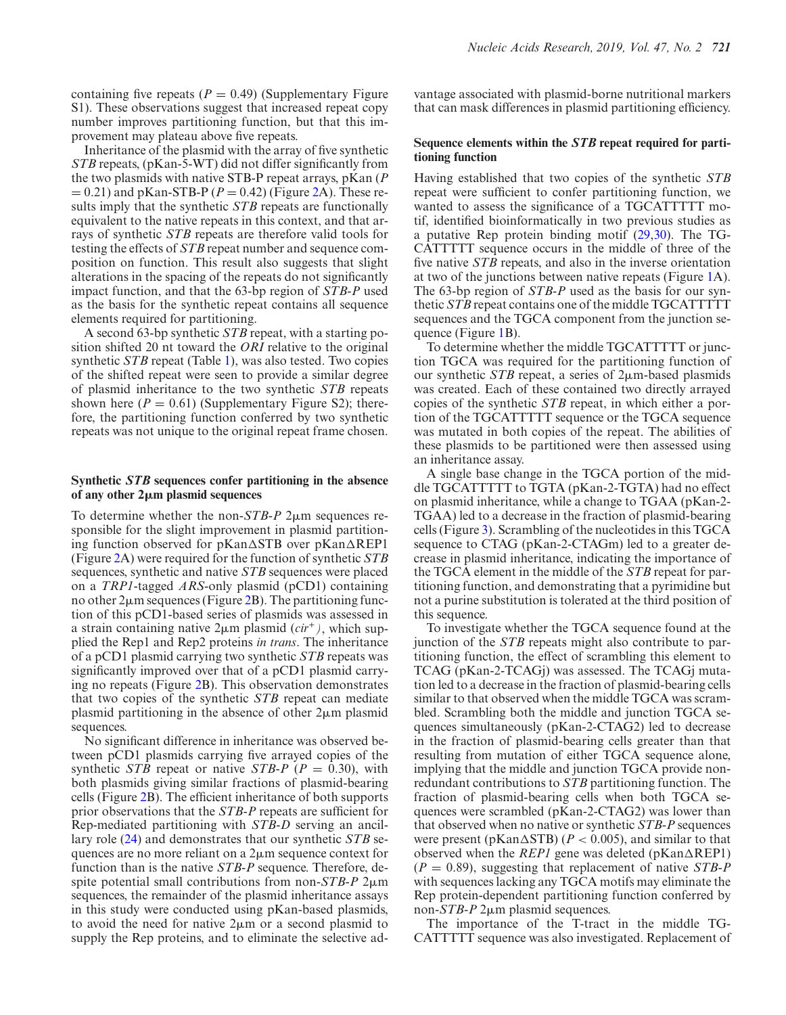containing five repeats  $(P = 0.49)$  (Supplementary Figure S1). These observations suggest that increased repeat copy number improves partitioning function, but that this improvement may plateau above five repeats.

Inheritance of the plasmid with the array of five synthetic *STB* repeats, (pKan-5-WT) did not differ significantly from the two plasmids with native STB-P repeat arrays, pKan (*P*  $= 0.21$ ) and pKan-STB-P ( $P = 0.42$ ) (Figure [2A](#page-3-0)). These results imply that the synthetic *STB* repeats are functionally equivalent to the native repeats in this context, and that arrays of synthetic *STB* repeats are therefore valid tools for testing the effects of *STB* repeat number and sequence composition on function. This result also suggests that slight alterations in the spacing of the repeats do not significantly impact function, and that the 63-bp region of *STB-P* used as the basis for the synthetic repeat contains all sequence elements required for partitioning.

A second 63-bp synthetic *STB* repeat, with a starting position shifted 20 nt toward the *ORI* relative to the original synthetic *STB* repeat (Table [1\)](#page-2-0), was also tested. Two copies of the shifted repeat were seen to provide a similar degree of plasmid inheritance to the two synthetic *STB* repeats shown here  $(P = 0.61)$  (Supplementary Figure S2); therefore, the partitioning function conferred by two synthetic repeats was not unique to the original repeat frame chosen.

# **Synthetic** *STB* **sequences confer partitioning in the absence of any other 2**-**m plasmid sequences**

To determine whether the non- $STB$ -P  $2\mu$ m sequences responsible for the slight improvement in plasmid partitioning function observed for pKan∆STB over pKan∆REP1 (Figure [2A](#page-3-0)) were required for the function of synthetic *STB* sequences, synthetic and native *STB* sequences were placed on a *TRP1*-tagged *ARS*-only plasmid (pCD1) containing no other  $2\mu$ m sequences (Figure [2B](#page-3-0)). The partitioning function of this pCD1-based series of plasmids was assessed in a strain containing native  $2\mu$ m plasmid  $(cir^+)$ , which supplied the Rep1 and Rep2 proteins *in trans*. The inheritance of a pCD1 plasmid carrying two synthetic *STB* repeats was significantly improved over that of a pCD1 plasmid carrying no repeats (Figure [2B](#page-3-0)). This observation demonstrates that two copies of the synthetic *STB* repeat can mediate plasmid partitioning in the absence of other  $2\mu$ m plasmid sequences.

No significant difference in inheritance was observed between pCD1 plasmids carrying five arrayed copies of the synthetic *STB* repeat or native *STB-P* (*P* = 0.30), with both plasmids giving similar fractions of plasmid-bearing cells (Figure [2B](#page-3-0)). The efficient inheritance of both supports prior observations that the *STB-P* repeats are sufficient for Rep-mediated partitioning with *STB-D* serving an ancillary role [\(24\)](#page-11-0) and demonstrates that our synthetic *STB* sequences are no more reliant on a  $2\mu$ m sequence context for function than is the native *STB-P* sequence. Therefore, despite potential small contributions from non-*STB-P* 2 $\mu$ m sequences, the remainder of the plasmid inheritance assays in this study were conducted using pKan-based plasmids, to avoid the need for native  $2\mu$ m or a second plasmid to supply the Rep proteins, and to eliminate the selective advantage associated with plasmid-borne nutritional markers that can mask differences in plasmid partitioning efficiency.

# **Sequence elements within the** *STB* **repeat required for partitioning function**

Having established that two copies of the synthetic *STB* repeat were sufficient to confer partitioning function, we wanted to assess the significance of a TGCATTTTT motif, identified bioinformatically in two previous studies as a putative Rep protein binding motif [\(29,30\)](#page-11-0). The TG-CATTTTT sequence occurs in the middle of three of the five native *STB* repeats, and also in the inverse orientation at two of the junctions between native repeats (Figure [1A](#page-2-0)). The 63-bp region of *STB-P* used as the basis for our synthetic *STB* repeat contains one of the middle TGCATTTTT sequences and the TGCA component from the junction sequence (Figure [1B](#page-2-0)).

To determine whether the middle TGCATTTTT or junction TGCA was required for the partitioning function of our synthetic  $STB$  repeat, a series of  $2\mu$ m-based plasmids was created. Each of these contained two directly arrayed copies of the synthetic *STB* repeat, in which either a portion of the TGCATTTTT sequence or the TGCA sequence was mutated in both copies of the repeat. The abilities of these plasmids to be partitioned were then assessed using an inheritance assay.

A single base change in the TGCA portion of the middle TGCATTTTT to TGTA (pKan-2-TGTA) had no effect on plasmid inheritance, while a change to TGAA (pKan-2- TGAA) led to a decrease in the fraction of plasmid-bearing cells (Figure [3\)](#page-6-0). Scrambling of the nucleotides in this TGCA sequence to CTAG (pKan-2-CTAGm) led to a greater decrease in plasmid inheritance, indicating the importance of the TGCA element in the middle of the *STB* repeat for partitioning function, and demonstrating that a pyrimidine but not a purine substitution is tolerated at the third position of this sequence.

To investigate whether the TGCA sequence found at the junction of the *STB* repeats might also contribute to partitioning function, the effect of scrambling this element to TCAG (pKan-2-TCAGj) was assessed. The TCAGj mutation led to a decrease in the fraction of plasmid-bearing cells similar to that observed when the middle TGCA was scrambled. Scrambling both the middle and junction TGCA sequences simultaneously (pKan-2-CTAG2) led to decrease in the fraction of plasmid-bearing cells greater than that resulting from mutation of either TGCA sequence alone, implying that the middle and junction TGCA provide nonredundant contributions to *STB* partitioning function. The fraction of plasmid-bearing cells when both TGCA sequences were scrambled (pKan-2-CTAG2) was lower than that observed when no native or synthetic *STB-P* sequences were present (pKan $\Delta$ STB) ( $P < 0.005$ ), and similar to that observed when the *REP1* gene was deleted ( $pKan\Delta$ REP1) (*P* = 0.89), suggesting that replacement of native *STB-P* with sequences lacking any TGCA motifs may eliminate the Rep protein-dependent partitioning function conferred by non-*STB-P* 2μm plasmid sequences.

The importance of the T-tract in the middle TG-CATTTTT sequence was also investigated. Replacement of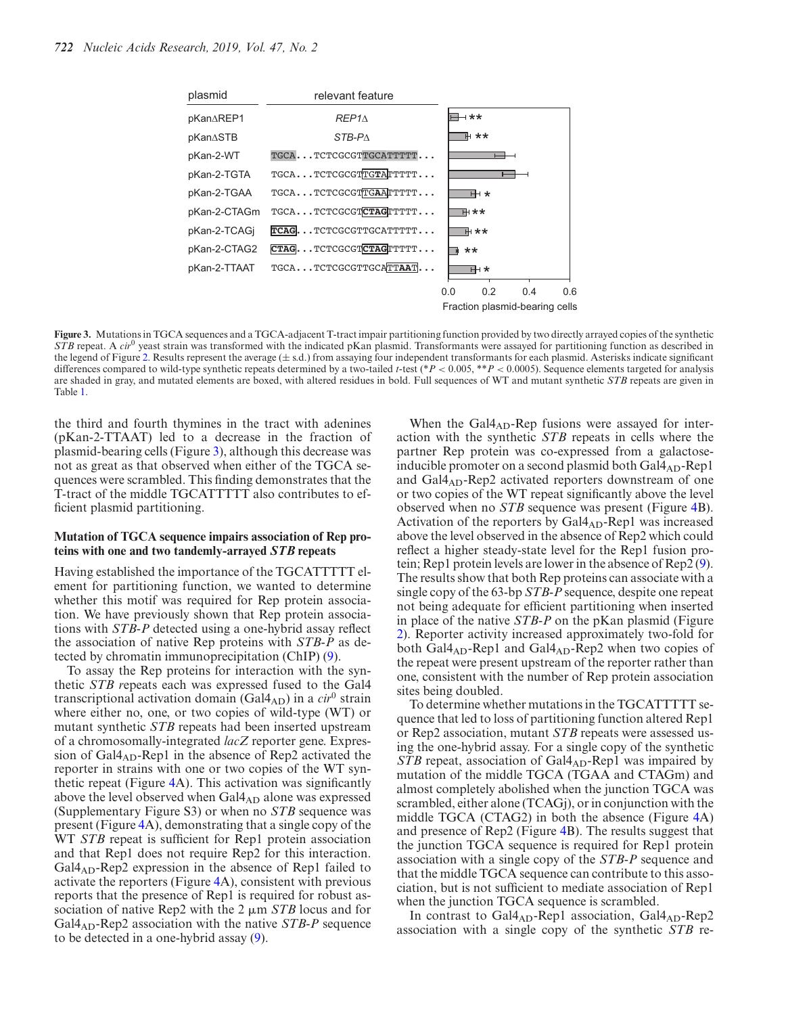<span id="page-6-0"></span>

**Figure 3.** Mutations in TGCA sequences and a TGCA-adjacent T-tract impair partitioning function provided by two directly arrayed copies of the synthetic *STB* repeat. A *cir*<sup>0</sup> yeast strain was transformed with the indicated pKan plasmid. Transformants were assayed for partitioning function as described in the legend of Figure [2.](#page-3-0) Results represent the average  $(\pm s.d.)$  from assaying four independent transformants for each plasmid. Asterisks indicate significant differences compared to wild-type synthetic repeats determined by a two-tailed *t*-test (\**P* < 0.005, \*\**P* < 0.0005). Sequence elements targeted for analysis are shaded in gray, and mutated elements are boxed, with altered residues in bold. Full sequences of WT and mutant synthetic *STB* repeats are given in Table [1.](#page-2-0)

the third and fourth thymines in the tract with adenines (pKan-2-TTAAT) led to a decrease in the fraction of plasmid-bearing cells (Figure 3), although this decrease was not as great as that observed when either of the TGCA sequences were scrambled. This finding demonstrates that the T-tract of the middle TGCATTTTT also contributes to efficient plasmid partitioning.

## **Mutation of TGCA sequence impairs association of Rep proteins with one and two tandemly-arrayed** *STB* **repeats**

Having established the importance of the TGCATTTTT element for partitioning function, we wanted to determine whether this motif was required for Rep protein association. We have previously shown that Rep protein associations with *STB-P* detected using a one-hybrid assay reflect the association of native Rep proteins with *STB-P* as detected by chromatin immunoprecipitation (ChIP) [\(9\)](#page-11-0).

To assay the Rep proteins for interaction with the synthetic *STB r*epeats each was expressed fused to the Gal4 transcriptional activation domain (Gal $4_{AD}$ ) in a *cir*<sup>0</sup> strain where either no, one, or two copies of wild-type (WT) or mutant synthetic *STB* repeats had been inserted upstream of a chromosomally-integrated *lacZ* reporter gene. Expression of Gal4<sub>AD</sub>-Rep1 in the absence of Rep2 activated the reporter in strains with one or two copies of the WT synthetic repeat (Figure [4A](#page-7-0)). This activation was significantly above the level observed when Gal4<sub>AD</sub> alone was expressed (Supplementary Figure S3) or when no *STB* sequence was present (Figure [4A](#page-7-0)), demonstrating that a single copy of the WT *STB* repeat is sufficient for Rep1 protein association and that Rep1 does not require Rep2 for this interaction. Gal4<sub>AD</sub>-Rep2 expression in the absence of Rep1 failed to activate the reporters (Figure [4A](#page-7-0)), consistent with previous reports that the presence of Rep1 is required for robust association of native Rep2 with the  $2 \mu m$  *STB* locus and for Gal4AD-Rep2 association with the native *STB-P* sequence to be detected in a one-hybrid assay [\(9\)](#page-11-0).

When the  $Gal4_{AD}$ -Rep fusions were assayed for interaction with the synthetic *STB* repeats in cells where the partner Rep protein was co-expressed from a galactoseinducible promoter on a second plasmid both  $Gal4_{AD}$ -Rep1 and  $Gal4_{AD}$ -Rep2 activated reporters downstream of one or two copies of the WT repeat significantly above the level observed when no *STB* sequence was present (Figure [4B](#page-7-0)). Activation of the reporters by  $Gal4_{AD}$ -Rep1 was increased above the level observed in the absence of Rep2 which could reflect a higher steady-state level for the Rep1 fusion protein; Rep1 protein levels are lower in the absence of Rep2 [\(9\)](#page-11-0). The results show that both Rep proteins can associate with a single copy of the 63-bp *STB-P* sequence, despite one repeat not being adequate for efficient partitioning when inserted in place of the native *STB-P* on the pKan plasmid (Figure [2\)](#page-3-0). Reporter activity increased approximately two-fold for both Gal $4_{AD}$ -Rep1 and Gal $4_{AD}$ -Rep2 when two copies of the repeat were present upstream of the reporter rather than one, consistent with the number of Rep protein association sites being doubled.

To determine whether mutations in the TGCATTTTT sequence that led to loss of partitioning function altered Rep1 or Rep2 association, mutant *STB* repeats were assessed using the one-hybrid assay. For a single copy of the synthetic *STB* repeat, association of Gal4<sub>AD</sub>-Rep1 was impaired by mutation of the middle TGCA (TGAA and CTAGm) and almost completely abolished when the junction TGCA was scrambled, either alone (TCAGj), or in conjunction with the middle TGCA (CTAG2) in both the absence (Figure [4A](#page-7-0)) and presence of Rep2 (Figure [4B](#page-7-0)). The results suggest that the junction TGCA sequence is required for Rep1 protein association with a single copy of the *STB-P* sequence and that the middle TGCA sequence can contribute to this association, but is not sufficient to mediate association of Rep1 when the junction TGCA sequence is scrambled.

In contrast to  $Gal4_{AD}$ -Rep1 association,  $Gal4_{AD}$ -Rep2 association with a single copy of the synthetic *STB* re-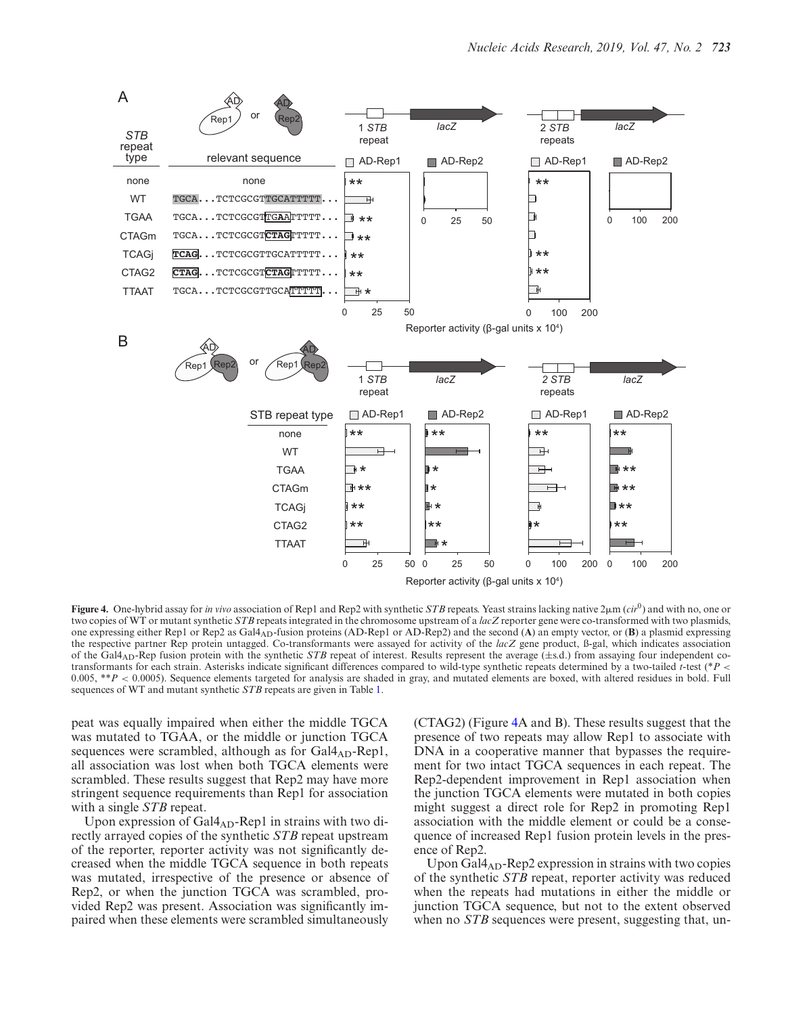<span id="page-7-0"></span>

**Figure 4.** One-hybrid assay for *in vivo* association of Rep1 and Rep2 with synthetic *STB* repeats. Yeast strains lacking native  $2\mu$ m (*cir*<sup>0</sup>) and with no, one or two copies of WT or mutant synthetic *STB* repeats integrated in the chromosome upstream of a *lacZ* reporter gene were co-transformed with two plasmids, one expressing either Rep1 or Rep2 as Gal4AD-fusion proteins (AD-Rep1 or AD-Rep2) and the second (**A**) an empty vector, or (**B**) a plasmid expressing the respective partner Rep protein untagged. Co-transformants were assayed for activity of the *lacZ* gene product, ß-gal, which indicates association of the Gal4<sub>AD</sub>-Rep fusion protein with the synthetic *STB* repeat of interest. Results represent the average  $(\pm s.d.)$  from assaying four independent cotransformants for each strain. Asterisks indicate significant differences compared to wild-type synthetic repeats determined by a two-tailed *t*-test (\**P* < 0.005, \*\**P* < 0.0005). Sequence elements targeted for analysis are shaded in gray, and mutated elements are boxed, with altered residues in bold. Full sequences of WT and mutant synthetic *STB* repeats are given in Table [1.](#page-2-0)

peat was equally impaired when either the middle TGCA was mutated to TGAA, or the middle or junction TGCA sequences were scrambled, although as for  $Gal4_{AD}$ -Rep1, all association was lost when both TGCA elements were scrambled. These results suggest that Rep2 may have more stringent sequence requirements than Rep1 for association with a single *STB* repeat.

Upon expression of  $Gal4_{AD}$ -Rep1 in strains with two directly arrayed copies of the synthetic *STB* repeat upstream of the reporter, reporter activity was not significantly decreased when the middle TGCA sequence in both repeats was mutated, irrespective of the presence or absence of Rep2, or when the junction TGCA was scrambled, provided Rep2 was present. Association was significantly impaired when these elements were scrambled simultaneously

(CTAG2) (Figure 4A and B). These results suggest that the presence of two repeats may allow Rep1 to associate with DNA in a cooperative manner that bypasses the requirement for two intact TGCA sequences in each repeat. The Rep2-dependent improvement in Rep1 association when the junction TGCA elements were mutated in both copies might suggest a direct role for Rep2 in promoting Rep1 association with the middle element or could be a consequence of increased Rep1 fusion protein levels in the presence of Rep2.

Upon  $Gal4_{AD}$ -Rep2 expression in strains with two copies of the synthetic *STB* repeat, reporter activity was reduced when the repeats had mutations in either the middle or junction TGCA sequence, but not to the extent observed when no *STB* sequences were present, suggesting that, un-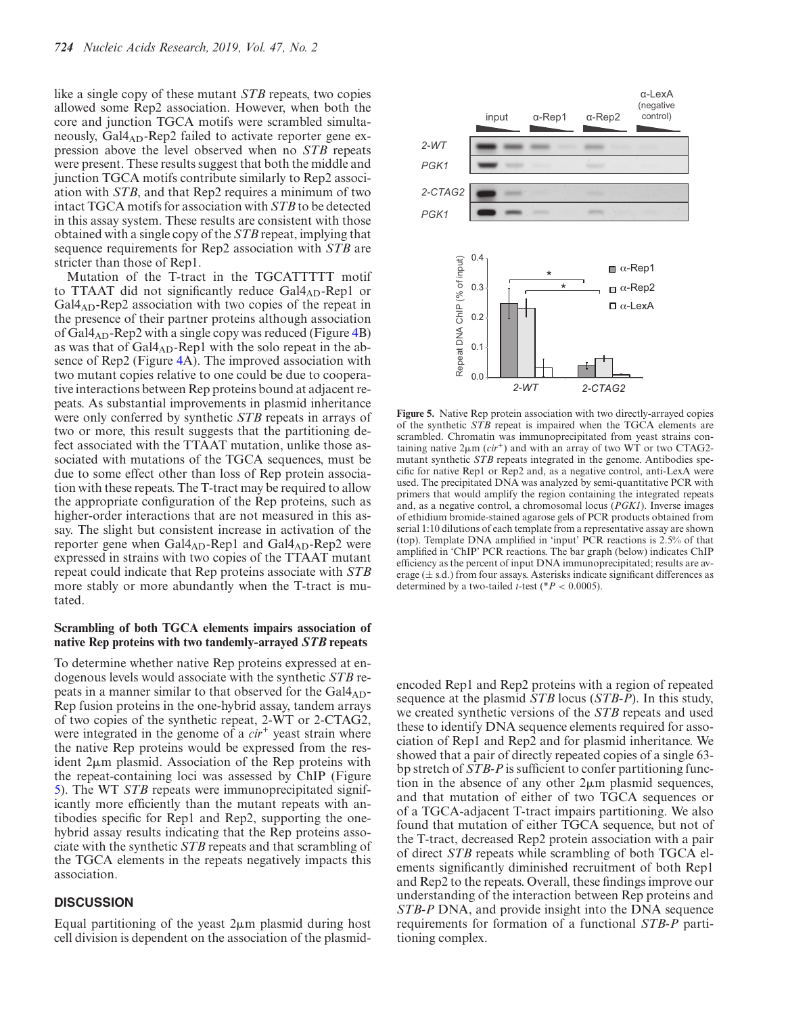like a single copy of these mutant *STB* repeats, two copies allowed some Rep2 association. However, when both the core and junction TGCA motifs were scrambled simultaneously,  $Gal4_{AD}$ -Rep2 failed to activate reporter gene expression above the level observed when no *STB* repeats were present. These results suggest that both the middle and junction TGCA motifs contribute similarly to Rep2 association with *STB*, and that Rep2 requires a minimum of two intact TGCA motifs for association with *STB* to be detected in this assay system. These results are consistent with those obtained with a single copy of the *STB* repeat, implying that sequence requirements for Rep2 association with *STB* are stricter than those of Rep1.

Mutation of the T-tract in the TGCATTTTT motif to TTAAT did not significantly reduce  $Gal4_{AD}$ -Rep1 or  $Gal4<sub>AD</sub>$ -Rep2 association with two copies of the repeat in the presence of their partner proteins although association of  $Gal4_{AD}$ -Rep2 with a single copy was reduced (Figure [4B](#page-7-0)) as was that of  $Gal4_{AD}$ -Rep1 with the solo repeat in the absence of Rep2 (Figure [4A](#page-7-0)). The improved association with two mutant copies relative to one could be due to cooperative interactions between Rep proteins bound at adjacent repeats. As substantial improvements in plasmid inheritance were only conferred by synthetic *STB* repeats in arrays of two or more, this result suggests that the partitioning defect associated with the TTAAT mutation, unlike those associated with mutations of the TGCA sequences, must be due to some effect other than loss of Rep protein association with these repeats. The T-tract may be required to allow the appropriate configuration of the Rep proteins, such as higher-order interactions that are not measured in this assay. The slight but consistent increase in activation of the reporter gene when Gal4<sub>AD</sub>-Rep1 and Gal4<sub>AD</sub>-Rep2 were expressed in strains with two copies of the TTAAT mutant repeat could indicate that Rep proteins associate with *STB* more stably or more abundantly when the T-tract is mutated.

## **Scrambling of both TGCA elements impairs association of native Rep proteins with two tandemly-arrayed** *STB* **repeats**

To determine whether native Rep proteins expressed at endogenous levels would associate with the synthetic *STB* repeats in a manner similar to that observed for the  $Gal4_{AD}$ -Rep fusion proteins in the one-hybrid assay, tandem arrays of two copies of the synthetic repeat, 2-WT or 2-CTAG2, were integrated in the genome of a *cir*<sup>+</sup> yeast strain where the native Rep proteins would be expressed from the resident  $2\mu$ m plasmid. Association of the Rep proteins with the repeat-containing loci was assessed by ChIP (Figure 5). The WT *STB* repeats were immunoprecipitated significantly more efficiently than the mutant repeats with antibodies specific for Rep1 and Rep2, supporting the onehybrid assay results indicating that the Rep proteins associate with the synthetic *STB* repeats and that scrambling of the TGCA elements in the repeats negatively impacts this association.

## **DISCUSSION**

Equal partitioning of the yeast  $2\mu m$  plasmid during host cell division is dependent on the association of the plasmid-



**Figure 5.** Native Rep protein association with two directly-arrayed copies of the synthetic *STB* repeat is impaired when the TGCA elements are scrambled. Chromatin was immunoprecipitated from yeast strains containing native  $2\mu$ m ( $cir$ <sup>+</sup>) and with an array of two WT or two CTAG2mutant synthetic *STB* repeats integrated in the genome. Antibodies specific for native Rep1 or Rep2 and, as a negative control, anti-LexA were used. The precipitated DNA was analyzed by semi-quantitative PCR with primers that would amplify the region containing the integrated repeats and, as a negative control, a chromosomal locus (*PGK1*). Inverse images of ethidium bromide-stained agarose gels of PCR products obtained from serial 1:10 dilutions of each template from a representative assay are shown (top). Template DNA amplified in 'input' PCR reactions is 2.5% of that amplified in 'ChIP' PCR reactions. The bar graph (below) indicates ChIP efficiency as the percent of input DNA immunoprecipitated; results are average  $(\pm s.d.)$  from four assays. Asterisks indicate significant differences as determined by a two-tailed *t*-test ( $*P < 0.0005$ ).

encoded Rep1 and Rep2 proteins with a region of repeated sequence at the plasmid *STB* locus (*STB-P*). In this study, we created synthetic versions of the *STB* repeats and used these to identify DNA sequence elements required for association of Rep1 and Rep2 and for plasmid inheritance. We showed that a pair of directly repeated copies of a single 63 bp stretch of *STB-P* is sufficient to confer partitioning function in the absence of any other  $2\mu$ m plasmid sequences, and that mutation of either of two TGCA sequences or of a TGCA-adjacent T-tract impairs partitioning. We also found that mutation of either TGCA sequence, but not of the T-tract, decreased Rep2 protein association with a pair of direct *STB* repeats while scrambling of both TGCA elements significantly diminished recruitment of both Rep1 and Rep2 to the repeats. Overall, these findings improve our understanding of the interaction between Rep proteins and *STB-P* DNA, and provide insight into the DNA sequence requirements for formation of a functional *STB-P* partitioning complex.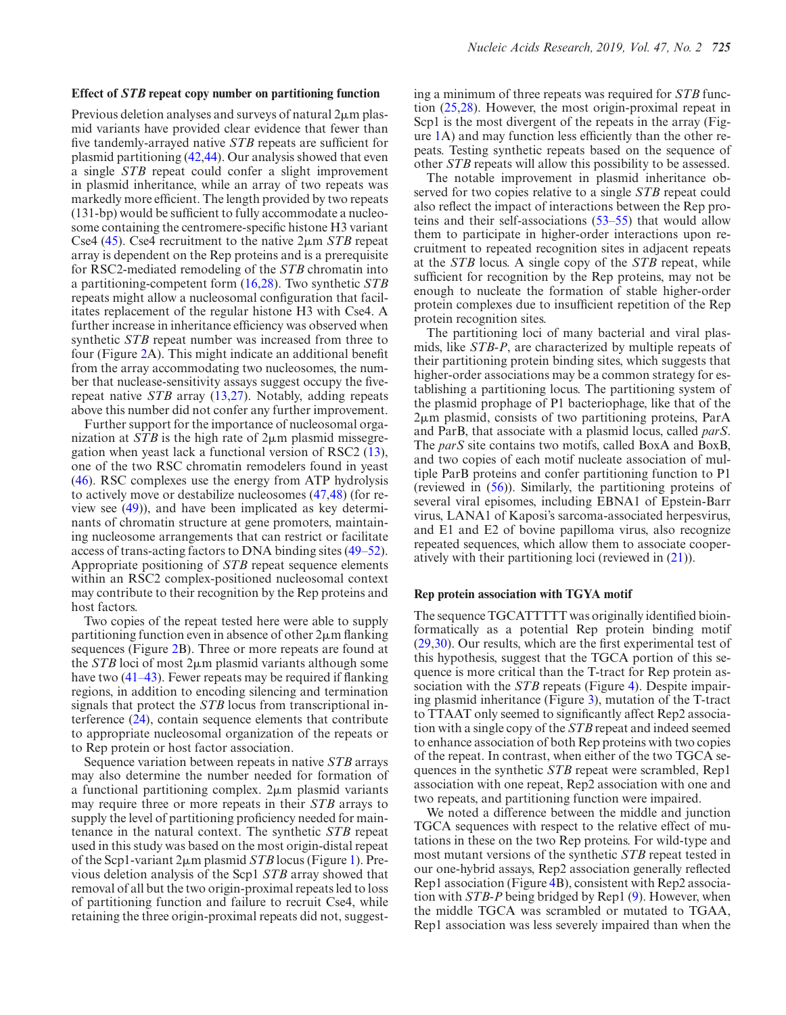Previous deletion analyses and surveys of natural  $2\mu$ m plasmid variants have provided clear evidence that fewer than five tandemly-arrayed native *STB* repeats are sufficient for plasmid partitioning [\(42,44\)](#page-12-0). Our analysis showed that even a single *STB* repeat could confer a slight improvement in plasmid inheritance, while an array of two repeats was markedly more efficient. The length provided by two repeats (131-bp) would be sufficient to fully accommodate a nucleosome containing the centromere-specific histone H3 variant Cse4  $(45)$ . Cse4 recruitment to the native  $2\mu$ m *STB* repeat array is dependent on the Rep proteins and is a prerequisite for RSC2-mediated remodeling of the *STB* chromatin into a partitioning-competent form [\(16,28\)](#page-11-0). Two synthetic *STB* repeats might allow a nucleosomal configuration that facilitates replacement of the regular histone H3 with Cse4. A further increase in inheritance efficiency was observed when synthetic *STB* repeat number was increased from three to four (Figure [2A](#page-3-0)). This might indicate an additional benefit from the array accommodating two nucleosomes, the number that nuclease-sensitivity assays suggest occupy the fiverepeat native *STB* array [\(13,27\)](#page-11-0). Notably, adding repeats above this number did not confer any further improvement.

Further support for the importance of nucleosomal organization at *STB* is the high rate of  $2\mu$ m plasmid missegregation when yeast lack a functional version of RSC2 [\(13\)](#page-11-0), one of the two RSC chromatin remodelers found in yeast [\(46\)](#page-12-0). RSC complexes use the energy from ATP hydrolysis to actively move or destabilize nucleosomes [\(47,48\)](#page-12-0) (for review see [\(49\)](#page-12-0)), and have been implicated as key determinants of chromatin structure at gene promoters, maintaining nucleosome arrangements that can restrict or facilitate access of trans-acting factors to DNA binding sites [\(49–52\)](#page-12-0). Appropriate positioning of *STB* repeat sequence elements within an RSC2 complex-positioned nucleosomal context may contribute to their recognition by the Rep proteins and host factors.

Two copies of the repeat tested here were able to supply partitioning function even in absence of other  $2\mu$ m flanking sequences (Figure [2B](#page-3-0)). Three or more repeats are found at the *STB* loci of most  $2\mu$ m plasmid variants although some have two [\(41–43\)](#page-12-0). Fewer repeats may be required if flanking regions, in addition to encoding silencing and termination signals that protect the *STB* locus from transcriptional interference [\(24\)](#page-11-0), contain sequence elements that contribute to appropriate nucleosomal organization of the repeats or to Rep protein or host factor association.

Sequence variation between repeats in native *STB* arrays may also determine the number needed for formation of a functional partitioning complex.  $2\mu$ m plasmid variants may require three or more repeats in their *STB* arrays to supply the level of partitioning proficiency needed for maintenance in the natural context. The synthetic *STB* repeat used in this study was based on the most origin-distal repeat of the Scp1-variant 2μm plasmid *STB* locus (Figure [1\)](#page-2-0). Previous deletion analysis of the Scp1 *STB* array showed that removal of all but the two origin-proximal repeats led to loss of partitioning function and failure to recruit Cse4, while retaining the three origin-proximal repeats did not, suggesting a minimum of three repeats was required for *STB* function [\(25,28\)](#page-11-0). However, the most origin-proximal repeat in Scp1 is the most divergent of the repeats in the array (Figure [1A](#page-2-0)) and may function less efficiently than the other repeats. Testing synthetic repeats based on the sequence of other *STB* repeats will allow this possibility to be assessed.

The notable improvement in plasmid inheritance observed for two copies relative to a single *STB* repeat could also reflect the impact of interactions between the Rep proteins and their self-associations [\(53–55\)](#page-12-0) that would allow them to participate in higher-order interactions upon recruitment to repeated recognition sites in adjacent repeats at the *STB* locus. A single copy of the *STB* repeat, while sufficient for recognition by the Rep proteins, may not be enough to nucleate the formation of stable higher-order protein complexes due to insufficient repetition of the Rep protein recognition sites.

The partitioning loci of many bacterial and viral plasmids, like *STB-P*, are characterized by multiple repeats of their partitioning protein binding sites, which suggests that higher-order associations may be a common strategy for establishing a partitioning locus. The partitioning system of the plasmid prophage of P1 bacteriophage, like that of the 2µm plasmid, consists of two partitioning proteins, ParA and ParB, that associate with a plasmid locus, called *parS*. The *parS* site contains two motifs, called BoxA and BoxB, and two copies of each motif nucleate association of multiple ParB proteins and confer partitioning function to P1 (reviewed in [\(56\)](#page-12-0)). Similarly, the partitioning proteins of several viral episomes, including EBNA1 of Epstein-Barr virus, LANA1 of Kaposi's sarcoma-associated herpesvirus, and E1 and E2 of bovine papilloma virus, also recognize repeated sequences, which allow them to associate cooperatively with their partitioning loci (reviewed in [\(21\)](#page-11-0)).

#### **Rep protein association with TGYA motif**

The sequence TGCATTTTT was originally identified bioinformatically as a potential Rep protein binding motif [\(29,30\)](#page-11-0). Our results, which are the first experimental test of this hypothesis, suggest that the TGCA portion of this sequence is more critical than the T-tract for Rep protein association with the *STB* repeats (Figure [4\)](#page-7-0). Despite impairing plasmid inheritance (Figure [3\)](#page-6-0), mutation of the T-tract to TTAAT only seemed to significantly affect Rep2 association with a single copy of the *STB* repeat and indeed seemed to enhance association of both Rep proteins with two copies of the repeat. In contrast, when either of the two TGCA sequences in the synthetic *STB* repeat were scrambled, Rep1 association with one repeat, Rep2 association with one and two repeats, and partitioning function were impaired.

We noted a difference between the middle and junction TGCA sequences with respect to the relative effect of mutations in these on the two Rep proteins. For wild-type and most mutant versions of the synthetic *STB* repeat tested in our one-hybrid assays, Rep2 association generally reflected Rep1 association (Figure [4B](#page-7-0)), consistent with Rep2 association with *STB-P* being bridged by Rep1 [\(9\)](#page-11-0). However, when the middle TGCA was scrambled or mutated to TGAA, Rep1 association was less severely impaired than when the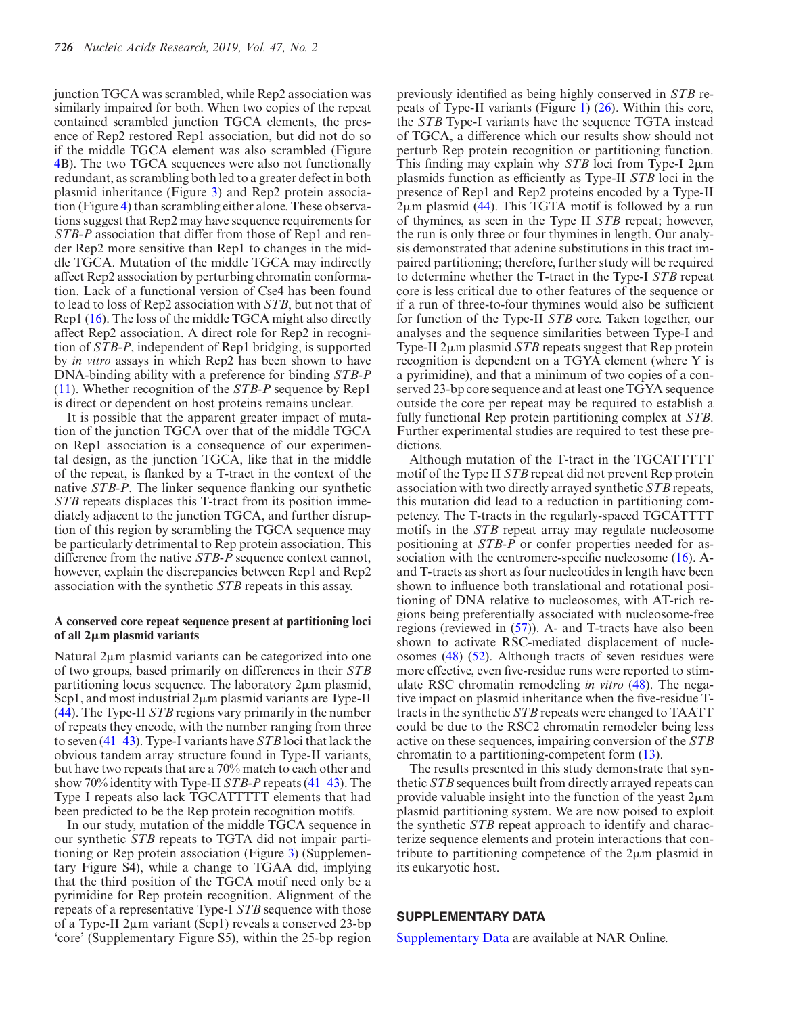junction TGCA was scrambled, while Rep2 association was similarly impaired for both. When two copies of the repeat contained scrambled junction TGCA elements, the presence of Rep2 restored Rep1 association, but did not do so if the middle TGCA element was also scrambled (Figure [4B](#page-7-0)). The two TGCA sequences were also not functionally redundant, as scrambling both led to a greater defect in both plasmid inheritance (Figure [3\)](#page-6-0) and Rep2 protein association (Figure [4\)](#page-7-0) than scrambling either alone. These observations suggest that Rep2 may have sequence requirements for *STB-P* association that differ from those of Rep1 and render Rep2 more sensitive than Rep1 to changes in the middle TGCA. Mutation of the middle TGCA may indirectly affect Rep2 association by perturbing chromatin conformation. Lack of a functional version of Cse4 has been found to lead to loss of Rep2 association with *STB*, but not that of Rep1 [\(16\)](#page-11-0). The loss of the middle TGCA might also directly affect Rep2 association. A direct role for Rep2 in recognition of *STB-P*, independent of Rep1 bridging, is supported by *in vitro* assays in which Rep2 has been shown to have DNA-binding ability with a preference for binding *STB-P* [\(11\)](#page-11-0). Whether recognition of the *STB-P* sequence by Rep1 is direct or dependent on host proteins remains unclear.

It is possible that the apparent greater impact of mutation of the junction TGCA over that of the middle TGCA on Rep1 association is a consequence of our experimental design, as the junction TGCA, like that in the middle of the repeat, is flanked by a T-tract in the context of the native *STB-P*. The linker sequence flanking our synthetic *STB* repeats displaces this T-tract from its position immediately adjacent to the junction TGCA, and further disruption of this region by scrambling the TGCA sequence may be particularly detrimental to Rep protein association. This difference from the native *STB-P* sequence context cannot, however, explain the discrepancies between Rep1 and Rep2 association with the synthetic *STB* repeats in this assay.

## **A conserved core repeat sequence present at partitioning loci of all 2**-**m plasmid variants**

Natural  $2\mu$ m plasmid variants can be categorized into one of two groups, based primarily on differences in their *STB* partitioning locus sequence. The laboratory  $2\mu$ m plasmid, Scp1, and most industrial  $2\mu$ m plasmid variants are Type-II [\(44\)](#page-12-0). The Type-II *STB* regions vary primarily in the number of repeats they encode, with the number ranging from three to seven [\(41–43\)](#page-12-0). Type-I variants have *STB* loci that lack the obvious tandem array structure found in Type-II variants, but have two repeats that are a 70% match to each other and show 70% identity with Type-II *STB-P* repeats [\(41–43\)](#page-12-0). The Type I repeats also lack TGCATTTTT elements that had been predicted to be the Rep protein recognition motifs.

In our study, mutation of the middle TGCA sequence in our synthetic *STB* repeats to TGTA did not impair partitioning or Rep protein association (Figure [3\)](#page-6-0) (Supplementary Figure S4), while a change to TGAA did, implying that the third position of the TGCA motif need only be a pyrimidine for Rep protein recognition. Alignment of the repeats of a representative Type-I *STB* sequence with those of a Type-II 2µm variant (Scp1) reveals a conserved 23-bp 'core' (Supplementary Figure S5), within the 25-bp region

previously identified as being highly conserved in *STB* repeats of Type-II variants (Figure [1\)](#page-2-0) [\(26\)](#page-11-0). Within this core, the *STB* Type-I variants have the sequence TGTA instead of TGCA, a difference which our results show should not perturb Rep protein recognition or partitioning function. This finding may explain why  $STB$  loci from Type-I  $2\mu$ m plasmids function as efficiently as Type-II *STB* loci in the presence of Rep1 and Rep2 proteins encoded by a Type-II  $2\mu$ m plasmid [\(44\)](#page-12-0). This TGTA motif is followed by a run of thymines, as seen in the Type II *STB* repeat; however, the run is only three or four thymines in length. Our analysis demonstrated that adenine substitutions in this tract impaired partitioning; therefore, further study will be required to determine whether the T-tract in the Type-I *STB* repeat core is less critical due to other features of the sequence or if a run of three-to-four thymines would also be sufficient for function of the Type-II *STB* core. Taken together, our analyses and the sequence similarities between Type-I and Type-II  $2\mu$ m plasmid *STB* repeats suggest that Rep protein recognition is dependent on a TGYA element (where Y is a pyrimidine), and that a minimum of two copies of a conserved 23-bp core sequence and at least one TGYA sequence outside the core per repeat may be required to establish a fully functional Rep protein partitioning complex at *STB*. Further experimental studies are required to test these predictions.

Although mutation of the T-tract in the TGCATTTTT motif of the Type II *STB* repeat did not prevent Rep protein association with two directly arrayed synthetic *STB* repeats, this mutation did lead to a reduction in partitioning competency. The T-tracts in the regularly-spaced TGCATTTT motifs in the *STB* repeat array may regulate nucleosome positioning at *STB-P* or confer properties needed for as-sociation with the centromere-specific nucleosome [\(16\)](#page-11-0). Aand T-tracts as short as four nucleotides in length have been shown to influence both translational and rotational positioning of DNA relative to nucleosomes, with AT-rich regions being preferentially associated with nucleosome-free regions (reviewed in [\(57\)](#page-12-0)). A- and T-tracts have also been shown to activate RSC-mediated displacement of nucleosomes [\(48\)](#page-12-0) [\(52\)](#page-12-0). Although tracts of seven residues were more effective, even five-residue runs were reported to stimulate RSC chromatin remodeling *in vitro* [\(48\)](#page-12-0). The negative impact on plasmid inheritance when the five-residue Ttracts in the synthetic *STB* repeats were changed to TAATT could be due to the RSC2 chromatin remodeler being less active on these sequences, impairing conversion of the *STB* chromatin to a partitioning-competent form [\(13\)](#page-11-0).

The results presented in this study demonstrate that synthetic *STB* sequences built from directly arrayed repeats can provide valuable insight into the function of the yeast  $2\mu m$ plasmid partitioning system. We are now poised to exploit the synthetic *STB* repeat approach to identify and characterize sequence elements and protein interactions that contribute to partitioning competence of the  $2\mu$ m plasmid in its eukaryotic host.

# **SUPPLEMENTARY DATA**

[Supplementary Data](https://academic.oup.com/nar/article-lookup/doi/10.1093/nar/gky1150#supplementary-data) are available at NAR Online.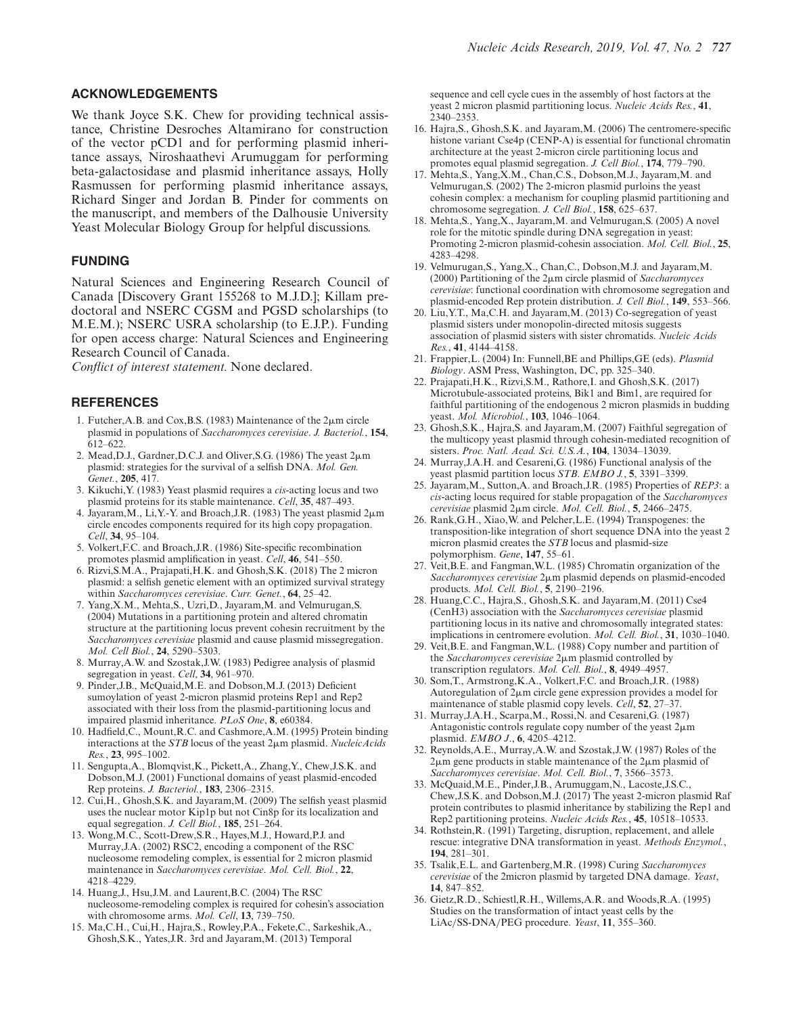## <span id="page-11-0"></span>**ACKNOWLEDGEMENTS**

We thank Joyce S.K. Chew for providing technical assistance, Christine Desroches Altamirano for construction of the vector pCD1 and for performing plasmid inheritance assays, Niroshaathevi Arumuggam for performing beta-galactosidase and plasmid inheritance assays, Holly Rasmussen for performing plasmid inheritance assays, Richard Singer and Jordan B. Pinder for comments on the manuscript, and members of the Dalhousie University Yeast Molecular Biology Group for helpful discussions.

# **FUNDING**

Natural Sciences and Engineering Research Council of Canada [Discovery Grant 155268 to M.J.D.]; Killam predoctoral and NSERC CGSM and PGSD scholarships (to M.E.M.); NSERC USRA scholarship (to E.J.P.). Funding for open access charge: Natural Sciences and Engineering Research Council of Canada.

*Conflict of interest statement.* None declared.

## **REFERENCES**

- 1. Futcher, A.B. and Cox, B.S. (1983) Maintenance of the  $2\mu$ m circle plasmid in populations of *Saccharomyces cerevisiae*. *J. Bacteriol.*, **154**, 612–622.
- 2. Mead, D.J., Gardner, D.C.J. and Oliver, S.G. (1986) The yeast 2 $\mu$ m plasmid: strategies for the survival of a selfish DNA. *Mol. Gen. Genet.*, **205**, 417.
- 3. Kikuchi,Y. (1983) Yeast plasmid requires a *cis*-acting locus and two plasmid proteins for its stable maintenance. *Cell*, **35**, 487–493.
- 4. Jayaram, M., Li, Y.-Y. and Broach, J.R. (1983) The yeast plasmid  $2\mu$ m circle encodes components required for its high copy propagation. *Cell*, **34**, 95–104.
- 5. Volkert,F.C. and Broach,J.R. (1986) Site-specific recombination promotes plasmid amplification in yeast. *Cell*, **46**, 541–550.
- 6. Rizvi,S.M.A., Prajapati,H.K. and Ghosh,S.K. (2018) The 2 micron plasmid: a selfish genetic element with an optimized survival strategy within *Saccharomyces cerevisiae*. *Curr. Genet.*, **64**, 25–42.
- 7. Yang,X.M., Mehta,S., Uzri,D., Jayaram,M. and Velmurugan,S. (2004) Mutations in a partitioning protein and altered chromatin structure at the partitioning locus prevent cohesin recruitment by the *Saccharomyces cerevisiae* plasmid and cause plasmid missegregation. *Mol. Cell Biol.*, **24**, 5290–5303.
- 8. Murray,A.W. and Szostak,J.W. (1983) Pedigree analysis of plasmid segregation in yeast. *Cell*, **34**, 961–970.
- 9. Pinder,J.B., McQuaid,M.E. and Dobson,M.J. (2013) Deficient sumoylation of yeast 2-micron plasmid proteins Rep1 and Rep2 associated with their loss from the plasmid-partitioning locus and impaired plasmid inheritance. *PLoS One*, **8**, e60384.
- 10. Hadfield,C., Mount,R.C. and Cashmore,A.M. (1995) Protein binding interactions at the *STB* locus of the yeast 2 $\mu$ m plasmid. *Nucleic Acids Res.*, **23**, 995–1002.
- 11. Sengupta,A., Blomqvist,K., Pickett,A., Zhang,Y., Chew,J.S.K. and Dobson,M.J. (2001) Functional domains of yeast plasmid-encoded Rep proteins. *J. Bacteriol.*, **183**, 2306–2315.
- 12. Cui,H., Ghosh,S.K. and Jayaram,M. (2009) The selfish yeast plasmid uses the nuclear motor Kip1p but not Cin8p for its localization and equal segregation. *J. Cell Biol.*, **185**, 251–264.
- 13. Wong,M.C., Scott-Drew,S.R., Hayes,M.J., Howard,P.J. and Murray,J.A. (2002) RSC2, encoding a component of the RSC nucleosome remodeling complex, is essential for 2 micron plasmid maintenance in *Saccharomyces cerevisiae*. *Mol. Cell. Biol.*, **22**, 4218–4229.
- 14. Huang,J., Hsu,J.M. and Laurent,B.C. (2004) The RSC nucleosome-remodeling complex is required for cohesin's association with chromosome arms. *Mol. Cell*, **13**, 739–750.
- 15. Ma,C.H., Cui,H., Hajra,S., Rowley,P.A., Fekete,C., Sarkeshik,A., Ghosh,S.K., Yates,J.R. 3rd and Jayaram,M. (2013) Temporal

sequence and cell cycle cues in the assembly of host factors at the yeast 2 micron plasmid partitioning locus. *Nucleic Acids Res.*, **41**, 2340–2353.

- 16. Hajra,S., Ghosh,S.K. and Jayaram,M. (2006) The centromere-specific histone variant Cse4p (CENP-A) is essential for functional chromatin architecture at the yeast 2-micron circle partitioning locus and promotes equal plasmid segregation. *J. Cell Biol.*, **174**, 779–790.
- 17. Mehta,S., Yang,X.M., Chan,C.S., Dobson,M.J., Jayaram,M. and Velmurugan,S. (2002) The 2-micron plasmid purloins the yeast cohesin complex: a mechanism for coupling plasmid partitioning and chromosome segregation. *J. Cell Biol.*, **158**, 625–637.
- 18. Mehta,S., Yang,X., Jayaram,M. and Velmurugan,S. (2005) A novel role for the mitotic spindle during DNA segregation in yeast: Promoting 2-micron plasmid-cohesin association. *Mol. Cell. Biol.*, **25**, 4283–4298.
- 19. Velmurugan,S., Yang,X., Chan,C., Dobson,M.J. and Jayaram,M. (2000) Partitioning of the 2 $\mu$ m circle plasmid of *Saccharomyces cerevisiae*: functional coordination with chromosome segregation and plasmid-encoded Rep protein distribution. *J. Cell Biol.*, **149**, 553–566.
- 20. Liu,Y.T., Ma,C.H. and Jayaram,M. (2013) Co-segregation of yeast plasmid sisters under monopolin-directed mitosis suggests association of plasmid sisters with sister chromatids. *Nucleic Acids Res.*, **41**, 4144–4158.
- 21. Frappier,L. (2004) In: Funnell,BE and Phillips,GE (eds). *Plasmid Biology*. ASM Press, Washington, DC, pp. 325–340.
- 22. Prajapati,H.K., Rizvi,S.M., Rathore,I. and Ghosh,S.K. (2017) Microtubule-associated proteins, Bik1 and Bim1, are required for faithful partitioning of the endogenous 2 micron plasmids in budding yeast. *Mol. Microbiol.*, **103**, 1046–1064.
- 23. Ghosh,S.K., Hajra,S. and Jayaram,M. (2007) Faithful segregation of the multicopy yeast plasmid through cohesin-mediated recognition of sisters. *Proc. Natl. Acad. Sci. U.S.A.*, **104**, 13034–13039.
- 24. Murray,J.A.H. and Cesareni,G. (1986) Functional analysis of the yeast plasmid partition locus *STB*. *EMBO J.*, **5**, 3391–3399.
- 25. Jayaram,M., Sutton,A. and Broach,J.R. (1985) Properties of *REP3*: a *cis*-acting locus required for stable propagation of the *Saccharomyces cerevisiae* plasmid 2-m circle. *Mol. Cell. Biol.*, **5**, 2466–2475.
- 26. Rank,G.H., Xiao,W. and Pelcher,L.E. (1994) Transpogenes: the transposition-like integration of short sequence DNA into the yeast 2 micron plasmid creates the *STB* locus and plasmid-size polymorphism. *Gene*, **147**, 55–61.
- 27. Veit,B.E. and Fangman,W.L. (1985) Chromatin organization of the Saccharomyces cerevisiae 2µm plasmid depends on plasmid-encoded products. *Mol. Cell. Biol.*, **5**, 2190–2196.
- 28. Huang,C.C., Hajra,S., Ghosh,S.K. and Jayaram,M. (2011) Cse4 (CenH3) association with the *Saccharomyces cerevisiae* plasmid partitioning locus in its native and chromosomally integrated states: implications in centromere evolution. *Mol. Cell. Biol.*, **31**, 1030–1040.
- 29. Veit,B.E. and Fangman,W.L. (1988) Copy number and partition of the Saccharomyces cerevisiae 2pm plasmid controlled by transcription regulators. *Mol. Cell. Biol.*, **8**, 4949–4957.
- 30. Som,T., Armstrong,K.A., Volkert,F.C. and Broach,J.R. (1988) Autoregulation of  $2\mu$ m circle gene expression provides a model for maintenance of stable plasmid copy levels. *Cell*, **52**, 27–37.
- 31. Murray,J.A.H., Scarpa,M., Rossi,N. and Cesareni,G. (1987) Antagonistic controls regulate copy number of the yeast  $2\mu$ m plasmid. *EMBO J*., **6**, 4205–4212.
- 32. Reynolds,A.E., Murray,A.W. and Szostak,J.W. (1987) Roles of the  $2\mu$ m gene products in stable maintenance of the  $2\mu$ m plasmid of *Saccharomyces cerevisiae*. *Mol. Cell. Biol.*, **7**, 3566–3573.
- 33. McQuaid,M.E., Pinder,J.B., Arumuggam,N., Lacoste,J.S.C., Chew,J.S.K. and Dobson,M.J. (2017) The yeast 2-micron plasmid Raf protein contributes to plasmid inheritance by stabilizing the Rep1 and Rep2 partitioning proteins. *Nucleic Acids Res.*, **45**, 10518–10533.
- 34. Rothstein,R. (1991) Targeting, disruption, replacement, and allele rescue: integrative DNA transformation in yeast. *Methods Enzymol.*, **194**, 281–301.
- 35. Tsalik,E.L. and Gartenberg,M.R. (1998) Curing *Saccharomyces cerevisiae* of the 2micron plasmid by targeted DNA damage. *Yeast*, **14**, 847–852.
- 36. Gietz,R.D., Schiestl,R.H., Willems,A.R. and Woods,R.A. (1995) Studies on the transformation of intact yeast cells by the LiAc/SS-DNA/PEG procedure. *Yeast*, **11**, 355–360.